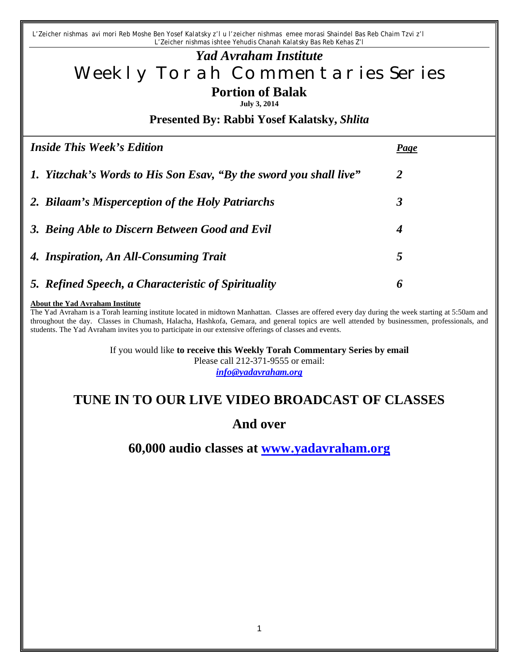*L'Zeicher nishmas avi mori Reb Moshe Ben Yosef Kalatsky z'l u l'zeicher nishmas emee morasi Shaindel Bas Reb Chaim Tzvi z'l L'Zeicher nishmas ishtee Yehudis Chanah Kalatsky Bas Reb Kehas Z'l*

# *Yad Avraham Institute* Weekly Torah Commentaries Series **Portion of Balak**

**July 3, 2014**

**Presented By: Rabbi Yosef Kalatsky,** *Shlita*

| <b>Inside This Week's Edition</b>                                  | <b>Page</b>    |
|--------------------------------------------------------------------|----------------|
| 1. Yitzchak's Words to His Son Esav, "By the sword you shall live" | $\overline{2}$ |
| 2. Bilaam's Misperception of the Holy Patriarchs                   | 3              |
| 3. Being Able to Discern Between Good and Evil                     | 4              |
| 4. Inspiration, An All-Consuming Trait                             | 5              |
| 5. Refined Speech, a Characteristic of Spirituality                | 6              |
|                                                                    |                |

#### **About the Yad Avraham Institute**

The Yad Avraham is a Torah learning institute located in midtown Manhattan. Classes are offered every day during the week starting at 5:50am and throughout the day. Classes in Chumash, Halacha, Hashkofa, Gemara, and general topics are well attended by businessmen, professionals, and students. The Yad Avraham invites you to participate in our extensive offerings of classes and events.

> If you would like **to receive this Weekly Torah Commentary Series by email** Please call 212-371-9555 or email:

*info@yadavraham.org*

# **TUNE IN TO OUR LIVE VIDEO BROADCAST OF CLASSES**

#### **And over**

**60,000 audio classes at www.yadavraham.org**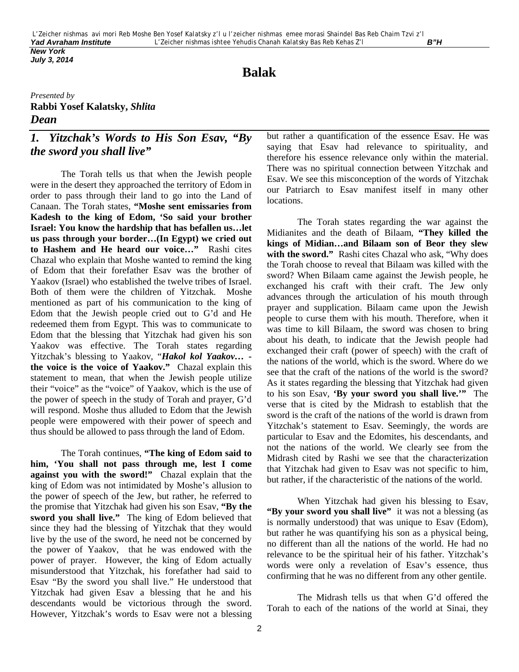*July 3, 2014*

# **Balak**

#### *Presented by* **Rabbi Yosef Kalatsky,** *Shlita Dean*

### *1. Yitzchak's Words to His Son Esav, "By the sword you shall live"*

The Torah tells us that when the Jewish people were in the desert they approached the territory of Edom in order to pass through their land to go into the Land of Canaan. The Torah states, **"Moshe sent emissaries from Kadesh to the king of Edom, 'So said your brother Israel: You know the hardship that has befallen us…let us pass through your border…(In Egypt) we cried out to Hashem and He heard our voice…"** Rashi cites Chazal who explain that Moshe wanted to remind the king of Edom that their forefather Esav was the brother of Yaakov (Israel) who established the twelve tribes of Israel. Both of them were the children of Yitzchak. Moshe mentioned as part of his communication to the king of Edom that the Jewish people cried out to G'd and He redeemed them from Egypt. This was to communicate to Edom that the blessing that Yitzchak had given his son Yaakov was effective. The Torah states regarding Yitzchak's blessing to Yaakov, "*Hakol kol Yaakov…*  **the voice is the voice of Yaakov."** Chazal explain this statement to mean, that when the Jewish people utilize their "voice" as the "voice" of Yaakov, which is the use of the power of speech in the study of Torah and prayer, G'd will respond. Moshe thus alluded to Edom that the Jewish people were empowered with their power of speech and thus should be allowed to pass through the land of Edom.

The Torah continues, **"The king of Edom said to him, 'You shall not pass through me, lest I come against you with the sword!"** Chazal explain that the king of Edom was not intimidated by Moshe's allusion to the power of speech of the Jew, but rather, he referred to the promise that Yitzchak had given his son Esav, **"By the sword you shall live."** The king of Edom believed that since they had the blessing of Yitzchak that they would live by the use of the sword, he need not be concerned by the power of Yaakov, that he was endowed with the power of prayer. However, the king of Edom actually misunderstood that Yitzchak, his forefather had said to Esav "By the sword you shall live." He understood that Yitzchak had given Esav a blessing that he and his descendants would be victorious through the sword. However, Yitzchak's words to Esav were not a blessing

but rather a quantification of the essence Esav. He was saying that Esav had relevance to spirituality, and therefore his essence relevance only within the material. There was no spiritual connection between Yitzchak and Esav. We see this misconception of the words of Yitzchak our Patriarch to Esav manifest itself in many other locations.

The Torah states regarding the war against the Midianites and the death of Bilaam, **"They killed the kings of Midian…and Bilaam son of Beor they slew**  with the sword." Rashi cites Chazal who ask, "Why does the Torah choose to reveal that Bilaam was killed with the sword? When Bilaam came against the Jewish people, he exchanged his craft with their craft. The Jew only advances through the articulation of his mouth through prayer and supplication. Bilaam came upon the Jewish people to curse them with his mouth. Therefore, when it was time to kill Bilaam, the sword was chosen to bring about his death, to indicate that the Jewish people had exchanged their craft (power of speech) with the craft of the nations of the world, which is the sword. Where do we see that the craft of the nations of the world is the sword? As it states regarding the blessing that Yitzchak had given to his son Esav, **'By your sword you shall live.'"** The verse that is cited by the Midrash to establish that the sword is the craft of the nations of the world is drawn from Yitzchak's statement to Esav. Seemingly, the words are particular to Esav and the Edomites, his descendants, and not the nations of the world. We clearly see from the Midrash cited by Rashi we see that the characterization that Yitzchak had given to Esav was not specific to him, but rather, if the characteristic of the nations of the world.

When Yitzchak had given his blessing to Esav, **"By your sword you shall live"** it was not a blessing (as is normally understood) that was unique to Esav (Edom), but rather he was quantifying his son as a physical being, no different than all the nations of the world. He had no relevance to be the spiritual heir of his father. Yitzchak's words were only a revelation of Esav's essence, thus confirming that he was no different from any other gentile.

The Midrash tells us that when G'd offered the Torah to each of the nations of the world at Sinai, they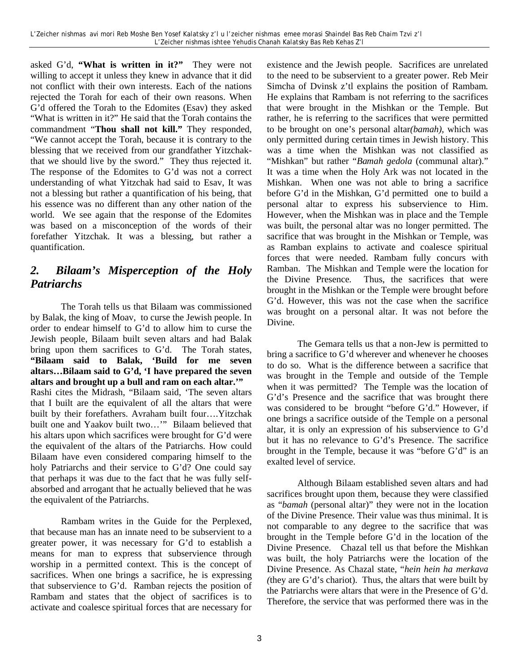asked G'd, **"What is written in it?"** They were not willing to accept it unless they knew in advance that it did not conflict with their own interests. Each of the nations rejected the Torah for each of their own reasons. When G'd offered the Torah to the Edomites (Esav) they asked "What is written in it?" He said that the Torah contains the commandment "**Thou shall not kill."** They responded, "We cannot accept the Torah, because it is contrary to the blessing that we received from our grandfather Yitzchakthat we should live by the sword." They thus rejected it. The response of the Edomites to G'd was not a correct understanding of what Yitzchak had said to Esav, It was not a blessing but rather a quantification of his being, that his essence was no different than any other nation of the world. We see again that the response of the Edomites was based on a misconception of the words of their forefather Yitzchak. It was a blessing, but rather a quantification.

### *2. Bilaam's Misperception of the Holy Patriarchs*

The Torah tells us that Bilaam was commissioned by Balak, the king of Moav, to curse the Jewish people. In order to endear himself to G'd to allow him to curse the Jewish people, Bilaam built seven altars and had Balak bring upon them sacrifices to G'd. The Torah states, **"Bilaam said to Balak, 'Build for me seven altars…Bilaam said to G'd, 'I have prepared the seven altars and brought up a bull and ram on each altar.'"** Rashi cites the Midrash, "Bilaam said, 'The seven altars that I built are the equivalent of all the altars that were built by their forefathers. Avraham built four….Yitzchak built one and Yaakov built two…'" Bilaam believed that his altars upon which sacrifices were brought for G'd were the equivalent of the altars of the Patriarchs. How could Bilaam have even considered comparing himself to the holy Patriarchs and their service to G'd? One could say that perhaps it was due to the fact that he was fully selfabsorbed and arrogant that he actually believed that he was the equivalent of the Patriarchs.

Rambam writes in the Guide for the Perplexed, that because man has an innate need to be subservient to a greater power, it was necessary for G'd to establish a means for man to express that subservience through worship in a permitted context. This is the concept of sacrifices. When one brings a sacrifice, he is expressing that subservience to G'd. Ramban rejects the position of Rambam and states that the object of sacrifices is to activate and coalesce spiritual forces that are necessary for

existence and the Jewish people. Sacrifices are unrelated to the need to be subservient to a greater power. Reb Meir Simcha of Dvinsk z'tl explains the position of Rambam. He explains that Rambam is not referring to the sacrifices that were brought in the Mishkan or the Temple. But rather, he is referring to the sacrifices that were permitted to be brought on one's personal altar*(bamah)*, which was only permitted during certain times in Jewish history. This was a time when the Mishkan was not classified as "Mishkan" but rather "*Bamah gedola* (communal altar)." It was a time when the Holy Ark was not located in the Mishkan. When one was not able to bring a sacrifice before G'd in the Mishkan, G'd permitted one to build a personal altar to express his subservience to Him. However, when the Mishkan was in place and the Temple was built, the personal altar was no longer permitted. The sacrifice that was brought in the Mishkan or Temple, was as Ramban explains to activate and coalesce spiritual forces that were needed. Rambam fully concurs with Ramban. The Mishkan and Temple were the location for the Divine Presence. Thus, the sacrifices that were brought in the Mishkan or the Temple were brought before G'd. However, this was not the case when the sacrifice was brought on a personal altar. It was not before the Divine.

The Gemara tells us that a non-Jew is permitted to bring a sacrifice to G'd wherever and whenever he chooses to do so. What is the difference between a sacrifice that was brought in the Temple and outside of the Temple when it was permitted? The Temple was the location of G'd's Presence and the sacrifice that was brought there was considered to be brought "before G'd." However, if one brings a sacrifice outside of the Temple on a personal altar, it is only an expression of his subservience to G'd but it has no relevance to G'd's Presence. The sacrifice brought in the Temple, because it was "before G'd" is an exalted level of service.

Although Bilaam established seven altars and had sacrifices brought upon them, because they were classified as "*bamah* (personal altar)" they were not in the location of the Divine Presence. Their value was thus minimal. It is not comparable to any degree to the sacrifice that was brought in the Temple before G'd in the location of the Divine Presence. Chazal tell us that before the Mishkan was built, the holy Patriarchs were the location of the Divine Presence. As Chazal state, "*hein hein ha merkava (*they are G'd's chariot). Thus, the altars that were built by the Patriarchs were altars that were in the Presence of G'd. Therefore, the service that was performed there was in the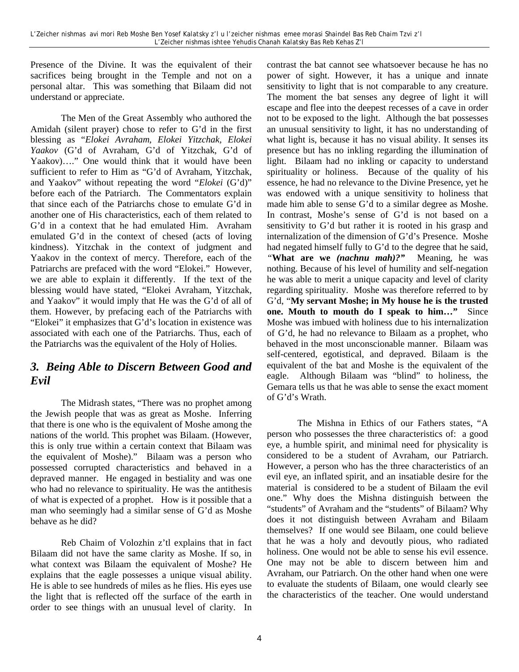Presence of the Divine. It was the equivalent of their sacrifices being brought in the Temple and not on a personal altar. This was something that Bilaam did not understand or appreciate.

The Men of the Great Assembly who authored the Amidah (silent prayer) chose to refer to G'd in the first blessing as "*Elokei Avraham, Elokei Yitzchak, Elokei Yaakov* (G'd of Avraham, G'd of Yitzchak, G'd of Yaakov)…." One would think that it would have been sufficient to refer to Him as "G'd of Avraham, Yitzchak, and Yaakov" without repeating the word "*Elokei* (G'd)" before each of the Patriarch. The Commentators explain that since each of the Patriarchs chose to emulate G'd in another one of His characteristics, each of them related to G'd in a context that he had emulated Him. Avraham emulated G'd in the context of chesed (acts of loving kindness). Yitzchak in the context of judgment and Yaakov in the context of mercy. Therefore, each of the Patriarchs are prefaced with the word "Elokei." However, we are able to explain it differently. If the text of the blessing would have stated, "Elokei Avraham, Yitzchak, and Yaakov" it would imply that He was the G'd of all of them. However, by prefacing each of the Patriarchs with "Elokei" it emphasizes that G'd's location in existence was associated with each one of the Patriarchs. Thus, each of the Patriarchs was the equivalent of the Holy of Holies.

#### *3. Being Able to Discern Between Good and Evil*

The Midrash states, "There was no prophet among the Jewish people that was as great as Moshe. Inferring that there is one who is the equivalent of Moshe among the nations of the world. This prophet was Bilaam. (However, this is only true within a certain context that Bilaam was the equivalent of Moshe)." Bilaam was a person who possessed corrupted characteristics and behaved in a depraved manner. He engaged in bestiality and was one who had no relevance to spirituality. He was the antithesis of what is expected of a prophet. How is it possible that a man who seemingly had a similar sense of G'd as Moshe behave as he did?

Reb Chaim of Volozhin z'tl explains that in fact Bilaam did not have the same clarity as Moshe. If so, in what context was Bilaam the equivalent of Moshe? He explains that the eagle possesses a unique visual ability. He is able to see hundreds of miles as he flies. His eyes use the light that is reflected off the surface of the earth in order to see things with an unusual level of clarity. In contrast the bat cannot see whatsoever because he has no power of sight. However, it has a unique and innate sensitivity to light that is not comparable to any creature. The moment the bat senses any degree of light it will escape and flee into the deepest recesses of a cave in order not to be exposed to the light. Although the bat possesses an unusual sensitivity to light, it has no understanding of what light is, because it has no visual ability. It senses its presence but has no inkling regarding the illumination of light. Bilaam had no inkling or capacity to understand spirituality or holiness. Because of the quality of his essence, he had no relevance to the Divine Presence, yet he was endowed with a unique sensitivity to holiness that made him able to sense G'd to a similar degree as Moshe. In contrast, Moshe's sense of G'd is not based on a sensitivity to G'd but rather it is rooted in his grasp and internalization of the dimension of G'd's Presence. Moshe had negated himself fully to G'd to the degree that he said, *"***What are we** *(nachnu mah)?"* Meaning, he was nothing. Because of his level of humility and self-negation he was able to merit a unique capacity and level of clarity regarding spirituality. Moshe was therefore referred to by G'd, "**My servant Moshe; in My house he is the trusted one. Mouth to mouth do I speak to him…"** Since Moshe was imbued with holiness due to his internalization of G'd, he had no relevance to Bilaam as a prophet, who behaved in the most unconscionable manner. Bilaam was self-centered, egotistical, and depraved. Bilaam is the equivalent of the bat and Moshe is the equivalent of the eagle. Although Bilaam was "blind" to holiness, the Gemara tells us that he was able to sense the exact moment of G'd's Wrath.

The Mishna in Ethics of our Fathers states, "A person who possesses the three characteristics of: a good eye, a humble spirit, and minimal need for physicality is considered to be a student of Avraham, our Patriarch. However, a person who has the three characteristics of an evil eye, an inflated spirit, and an insatiable desire for the material is considered to be a student of Bilaam the evil one." Why does the Mishna distinguish between the "students" of Avraham and the "students" of Bilaam? Why does it not distinguish between Avraham and Bilaam themselves? If one would see Bilaam, one could believe that he was a holy and devoutly pious, who radiated holiness. One would not be able to sense his evil essence. One may not be able to discern between him and Avraham, our Patriarch. On the other hand when one were to evaluate the students of Bilaam, one would clearly see the characteristics of the teacher. One would understand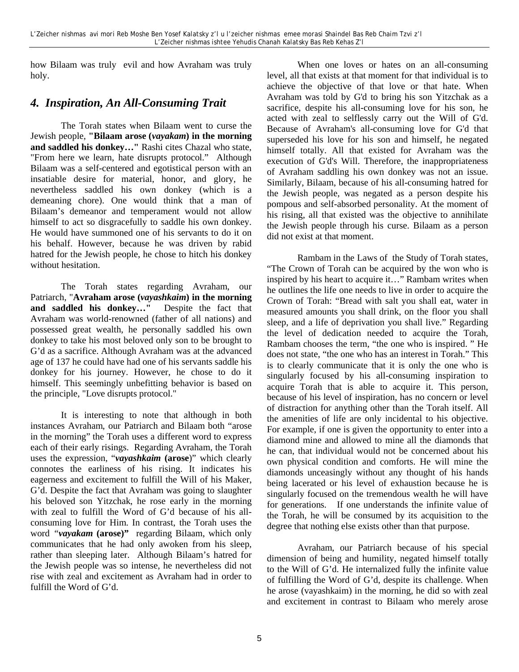how Bilaam was truly evil and how Avraham was truly holy.

#### *4. Inspiration, An All-Consuming Trait*

The Torah states when Bilaam went to curse the Jewish people, **"Bilaam arose (***vayakam***) in the morning and saddled his donkey…"** Rashi cites Chazal who state, "From here we learn, hate disrupts protocol." Although Bilaam was a self-centered and egotistical person with an insatiable desire for material, honor, and glory, he nevertheless saddled his own donkey (which is a demeaning chore). One would think that a man of Bilaam's demeanor and temperament would not allow himself to act so disgracefully to saddle his own donkey. He would have summoned one of his servants to do it on his behalf. However, because he was driven by rabid hatred for the Jewish people, he chose to hitch his donkey without hesitation.

The Torah states regarding Avraham, our Patriarch, "**Avraham arose (***vayashkaim***) in the morning and saddled his donkey…"** Despite the fact that Avraham was world-renowned (father of all nations) and possessed great wealth, he personally saddled his own donkey to take his most beloved only son to be brought to G'd as a sacrifice. Although Avraham was at the advanced age of 137 he could have had one of his servants saddle his donkey for his journey. However, he chose to do it himself. This seemingly unbefitting behavior is based on the principle, "Love disrupts protocol."

It is interesting to note that although in both instances Avraham, our Patriarch and Bilaam both "arose in the morning" the Torah uses a different word to express each of their early risings. Regarding Avraham, the Torah uses the expression, "*vayashkaim* **(arose**)" which clearly connotes the earliness of his rising. It indicates his eagerness and excitement to fulfill the Will of his Maker, G'd. Despite the fact that Avraham was going to slaughter his beloved son Yitzchak, he rose early in the morning with zeal to fulfill the Word of G'd because of his allconsuming love for Him. In contrast, the Torah uses the word *"vayakam* **(arose)"** regarding Bilaam, which only communicates that he had only awoken from his sleep, rather than sleeping later. Although Bilaam's hatred for the Jewish people was so intense, he nevertheless did not rise with zeal and excitement as Avraham had in order to fulfill the Word of G'd.

When one loves or hates on an all-consuming level, all that exists at that moment for that individual is to achieve the objective of that love or that hate. When Avraham was told by G'd to bring his son Yitzchak as a sacrifice, despite his all-consuming love for his son, he acted with zeal to selflessly carry out the Will of G'd. Because of Avraham's all-consuming love for G'd that superseded his love for his son and himself, he negated himself totally. All that existed for Avraham was the execution of G'd's Will. Therefore, the inappropriateness of Avraham saddling his own donkey was not an issue. Similarly, Bilaam, because of his all-consuming hatred for the Jewish people, was negated as a person despite his pompous and self-absorbed personality. At the moment of his rising, all that existed was the objective to annihilate the Jewish people through his curse. Bilaam as a person did not exist at that moment.

Rambam in the Laws of the Study of Torah states, "The Crown of Torah can be acquired by the won who is inspired by his heart to acquire it…" Rambam writes when he outlines the life one needs to live in order to acquire the Crown of Torah: "Bread with salt you shall eat, water in measured amounts you shall drink, on the floor you shall sleep, and a life of deprivation you shall live." Regarding the level of dedication needed to acquire the Torah, Rambam chooses the term, "the one who is inspired. " He does not state, "the one who has an interest in Torah." This is to clearly communicate that it is only the one who is singularly focused by his all-consuming inspiration to acquire Torah that is able to acquire it. This person, because of his level of inspiration, has no concern or level of distraction for anything other than the Torah itself. All the amenities of life are only incidental to his objective. For example, if one is given the opportunity to enter into a diamond mine and allowed to mine all the diamonds that he can, that individual would not be concerned about his own physical condition and comforts. He will mine the diamonds unceasingly without any thought of his hands being lacerated or his level of exhaustion because he is singularly focused on the tremendous wealth he will have for generations. If one understands the infinite value of the Torah, he will be consumed by its acquisition to the degree that nothing else exists other than that purpose.

Avraham, our Patriarch because of his special dimension of being and humility, negated himself totally to the Will of G'd. He internalized fully the infinite value of fulfilling the Word of G'd, despite its challenge. When he arose (vayashkaim) in the morning, he did so with zeal and excitement in contrast to Bilaam who merely arose